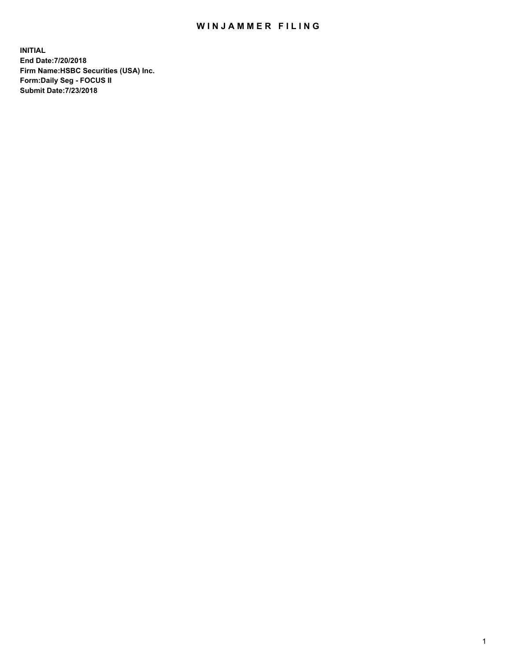## WIN JAMMER FILING

**INITIAL End Date:7/20/2018 Firm Name:HSBC Securities (USA) Inc. Form:Daily Seg - FOCUS II Submit Date:7/23/2018**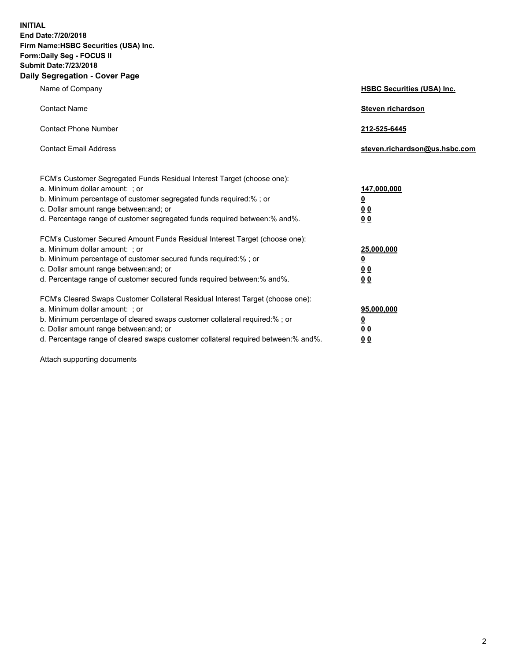**INITIAL End Date:7/20/2018 Firm Name:HSBC Securities (USA) Inc. Form:Daily Seg - FOCUS II Submit Date:7/23/2018 Daily Segregation - Cover Page**

| Name of Company                                                                                                                                                                                                                                                                                                                | <b>HSBC Securities (USA) Inc.</b>                     |
|--------------------------------------------------------------------------------------------------------------------------------------------------------------------------------------------------------------------------------------------------------------------------------------------------------------------------------|-------------------------------------------------------|
| <b>Contact Name</b>                                                                                                                                                                                                                                                                                                            | Steven richardson                                     |
| <b>Contact Phone Number</b>                                                                                                                                                                                                                                                                                                    | 212-525-6445                                          |
| <b>Contact Email Address</b>                                                                                                                                                                                                                                                                                                   | steven.richardson@us.hsbc.com                         |
| FCM's Customer Segregated Funds Residual Interest Target (choose one):<br>a. Minimum dollar amount: ; or<br>b. Minimum percentage of customer segregated funds required:% ; or<br>c. Dollar amount range between: and; or<br>d. Percentage range of customer segregated funds required between:% and%.                         | 147,000,000<br><u>0</u><br>00<br>0 Q                  |
| FCM's Customer Secured Amount Funds Residual Interest Target (choose one):<br>a. Minimum dollar amount: : or<br>b. Minimum percentage of customer secured funds required:%; or<br>c. Dollar amount range between: and; or<br>d. Percentage range of customer secured funds required between:% and%.                            | 25,000,000<br><u>0</u><br><u>00</u><br>0 <sup>0</sup> |
| FCM's Cleared Swaps Customer Collateral Residual Interest Target (choose one):<br>a. Minimum dollar amount: ; or<br>b. Minimum percentage of cleared swaps customer collateral required:% ; or<br>c. Dollar amount range between: and; or<br>d. Percentage range of cleared swaps customer collateral required between:% and%. | 95,000,000<br><u>0</u><br>0 Q<br>0 Q                  |

Attach supporting documents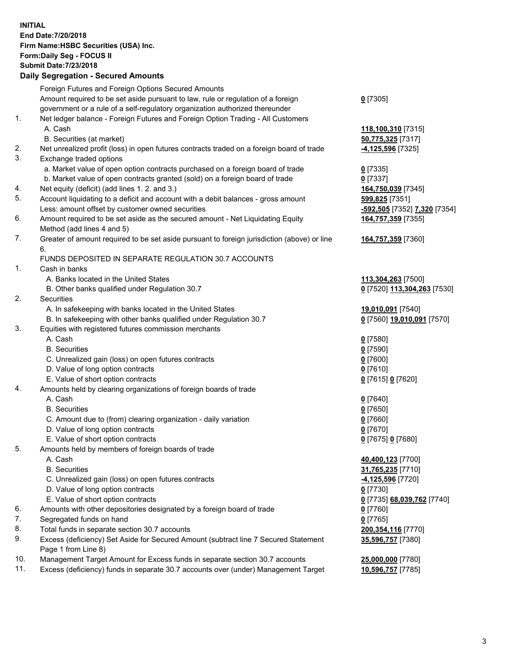**INITIAL End Date:7/20/2018 Firm Name:HSBC Securities (USA) Inc. Form:Daily Seg - FOCUS II Submit Date:7/23/2018 Daily Segregation - Secured Amounts** Foreign Futures and Foreign Options Secured Amounts Amount required to be set aside pursuant to law, rule or regulation of a foreign government or a rule of a self-regulatory organization authorized thereunder 1. Net ledger balance - Foreign Futures and Foreign Option Trading - All Customers A. Cash **118,100,310** [7315] B. Securities (at market) **50,775,325** [7317] 2. Net unrealized profit (loss) in open futures contracts traded on a foreign board of trade **-4,125,596** [7325] 3. Exchange traded options a. Market value of open option contracts purchased on a foreign board of trade **0** [7335] b. Market value of open contracts granted (sold) on a foreign board of trade **0** [7337] 4. Net equity (deficit) (add lines 1. 2. and 3.) **164,750,039** [7345] 5. Account liquidating to a deficit and account with a debit balances - gross amount **599,825** [7351] Less: amount offset by customer owned securities **-592,505** [7352] **7,320** [7354] 6. Amount required to be set aside as the secured amount - Net Liquidating Equity Method (add lines 4 and 5) 7. Greater of amount required to be set aside pursuant to foreign jurisdiction (above) or line 6. FUNDS DEPOSITED IN SEPARATE REGULATION 30.7 ACCOUNTS 1. Cash in banks A. Banks located in the United States **113,304,263** [7500] B. Other banks qualified under Regulation 30.7 **0** [7520] **113,304,263** [7530] 2. Securities A. In safekeeping with banks located in the United States **19,010,091** [7540] B. In safekeeping with other banks qualified under Regulation 30.7 **0** [7560] **19,010,091** [7570]

- 3. Equities with registered futures commission merchants
	- A. Cash **0** [7580]
	- B. Securities **0** [7590]
	- C. Unrealized gain (loss) on open futures contracts **0** [7600]
	- D. Value of long option contracts **0** [7610]
	- E. Value of short option contracts **0** [7615] **0** [7620]
- 4. Amounts held by clearing organizations of foreign boards of trade
	- A. Cash **0** [7640]
	- B. Securities **0** [7650]
	- C. Amount due to (from) clearing organization daily variation **0** [7660]
	- D. Value of long option contracts **0** [7670]
	- E. Value of short option contracts **0** [7675] **0** [7680]
- 5. Amounts held by members of foreign boards of trade
	-
	-
	- C. Unrealized gain (loss) on open futures contracts **-4,125,596** [7720]
	- D. Value of long option contracts **0** [7730]
	- E. Value of short option contracts **0** [7735] **68,039,762** [7740]
- 6. Amounts with other depositories designated by a foreign board of trade **0** [7760]
- 7. Segregated funds on hand **0** [7765]
- 8. Total funds in separate section 30.7 accounts **200,354,116** [7770]
- 9. Excess (deficiency) Set Aside for Secured Amount (subtract line 7 Secured Statement Page 1 from Line 8)
- 10. Management Target Amount for Excess funds in separate section 30.7 accounts **25,000,000** [7780]
- 11. Excess (deficiency) funds in separate 30.7 accounts over (under) Management Target **10,596,757** [7785]

**164,757,359** [7355] **164,757,359** [7360]

- 
- A. Cash **40,400,123** [7700] B. Securities **31,765,235** [7710] **35,596,757** [7380]
	-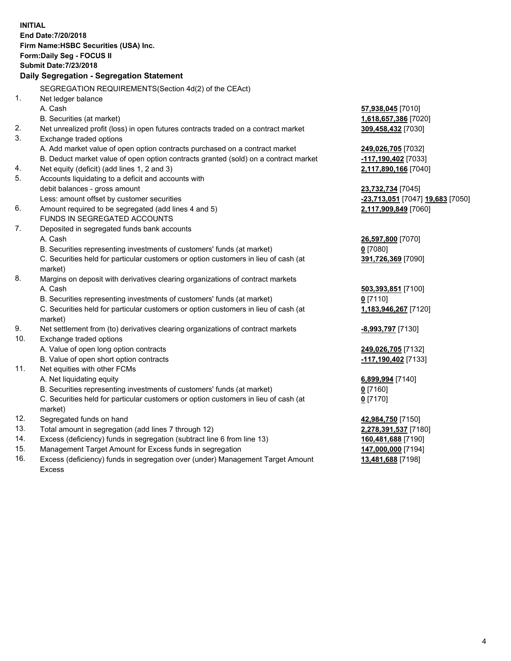**INITIAL End Date:7/20/2018 Firm Name:HSBC Securities (USA) Inc. Form:Daily Seg - FOCUS II Submit Date:7/23/2018 Daily Segregation - Segregation Statement** SEGREGATION REQUIREMENTS(Section 4d(2) of the CEAct) 1. Net ledger balance A. Cash **57,938,045** [7010] B. Securities (at market) **1,618,657,386** [7020] 2. Net unrealized profit (loss) in open futures contracts traded on a contract market **309,458,432** [7030] 3. Exchange traded options A. Add market value of open option contracts purchased on a contract market **249,026,705** [7032] B. Deduct market value of open option contracts granted (sold) on a contract market **-117,190,402** [7033] 4. Net equity (deficit) (add lines 1, 2 and 3) **2,117,890,166** [7040] 5. Accounts liquidating to a deficit and accounts with debit balances - gross amount **23,732,734** [7045] Less: amount offset by customer securities **-23,713,051** [7047] **19,683** [7050] 6. Amount required to be segregated (add lines 4 and 5) **2,117,909,849** [7060] FUNDS IN SEGREGATED ACCOUNTS 7. Deposited in segregated funds bank accounts A. Cash **26,597,800** [7070] B. Securities representing investments of customers' funds (at market) **0** [7080] C. Securities held for particular customers or option customers in lieu of cash (at market) **391,726,369** [7090] 8. Margins on deposit with derivatives clearing organizations of contract markets A. Cash **503,393,851** [7100] B. Securities representing investments of customers' funds (at market) **0** [7110] C. Securities held for particular customers or option customers in lieu of cash (at market) **1,183,946,267** [7120] 9. Net settlement from (to) derivatives clearing organizations of contract markets **-8,993,797** [7130] 10. Exchange traded options A. Value of open long option contracts **249,026,705** [7132] B. Value of open short option contracts **-117,190,402** [7133] 11. Net equities with other FCMs A. Net liquidating equity **6,899,994** [7140] B. Securities representing investments of customers' funds (at market) **0** [7160] C. Securities held for particular customers or option customers in lieu of cash (at market) **0** [7170] 12. Segregated funds on hand **42,984,750** [7150] 13. Total amount in segregation (add lines 7 through 12) **2,278,391,537** [7180] 14. Excess (deficiency) funds in segregation (subtract line 6 from line 13) **160,481,688** [7190] 15. Management Target Amount for Excess funds in segregation **147,000,000** [7194] **13,481,688** [7198]

16. Excess (deficiency) funds in segregation over (under) Management Target Amount Excess